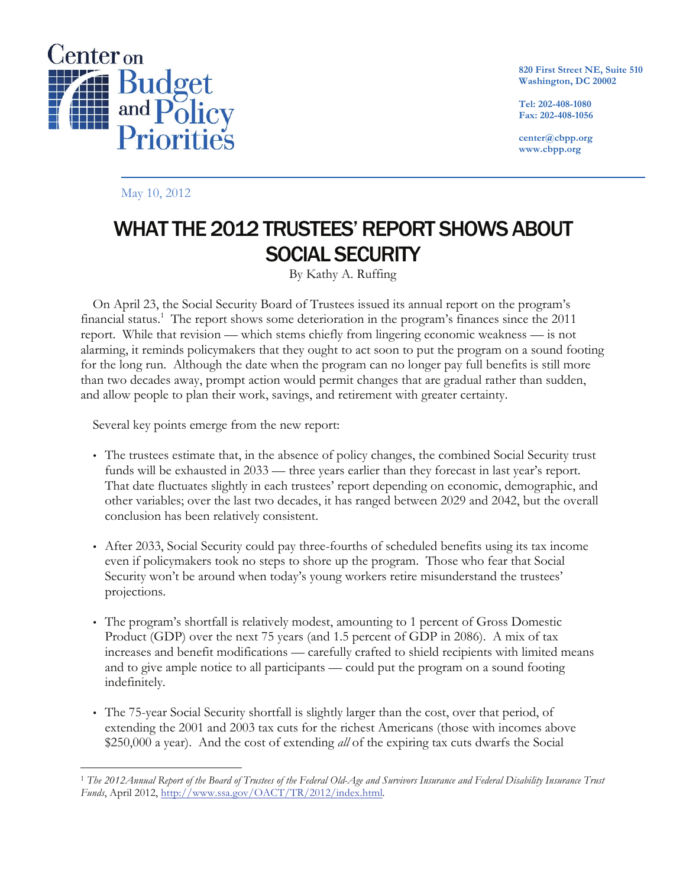

**820 First Street NE, Suite 510 Washington, DC 20002**

**Tel: 202-408-1080 Fax: 202-408-1056**

**center@cbpp.org www.cbpp.org**

May 10, 2012

# WHAT THE 2012 TRUSTEES' REPORT SHOWS ABOUT SOCIAL SECURITY

By Kathy A. Ruffing

On April 23, the Social Security Board of Trustees issued its annual report on the program's financial status.<sup>1</sup> The report shows some deterioration in the program's finances since the 2011 report. While that revision — which stems chiefly from lingering economic weakness — is not alarming, it reminds policymakers that they ought to act soon to put the program on a sound footing for the long run. Although the date when the program can no longer pay full benefits is still more than two decades away, prompt action would permit changes that are gradual rather than sudden, and allow people to plan their work, savings, and retirement with greater certainty.

Several key points emerge from the new report:

- The trustees estimate that, in the absence of policy changes, the combined Social Security trust funds will be exhausted in 2033 — three years earlier than they forecast in last year's report. That date fluctuates slightly in each trustees' report depending on economic, demographic, and other variables; over the last two decades, it has ranged between 2029 and 2042, but the overall conclusion has been relatively consistent.
- After 2033, Social Security could pay three-fourths of scheduled benefits using its tax income even if policymakers took no steps to shore up the program. Those who fear that Social Security won't be around when today's young workers retire misunderstand the trustees' projections.
- The program's shortfall is relatively modest, amounting to 1 percent of Gross Domestic Product (GDP) over the next 75 years (and 1.5 percent of GDP in 2086). A mix of tax increases and benefit modifications — carefully crafted to shield recipients with limited means and to give ample notice to all participants — could put the program on a sound footing indefinitely.
- The 75-year Social Security shortfall is slightly larger than the cost, over that period, of extending the 2001 and 2003 tax cuts for the richest Americans (those with incomes above \$250,000 a year). And the cost of extending *all* of the expiring tax cuts dwarfs the Social

 <sup>1</sup> *The 2012Annual Report of the Board of Trustees of the Federal Old-Age and Survivors Insurance and Federal Disability Insurance Trust Funds*, April 2012, http://www.ssa.gov/OACT/TR/2012/index.html.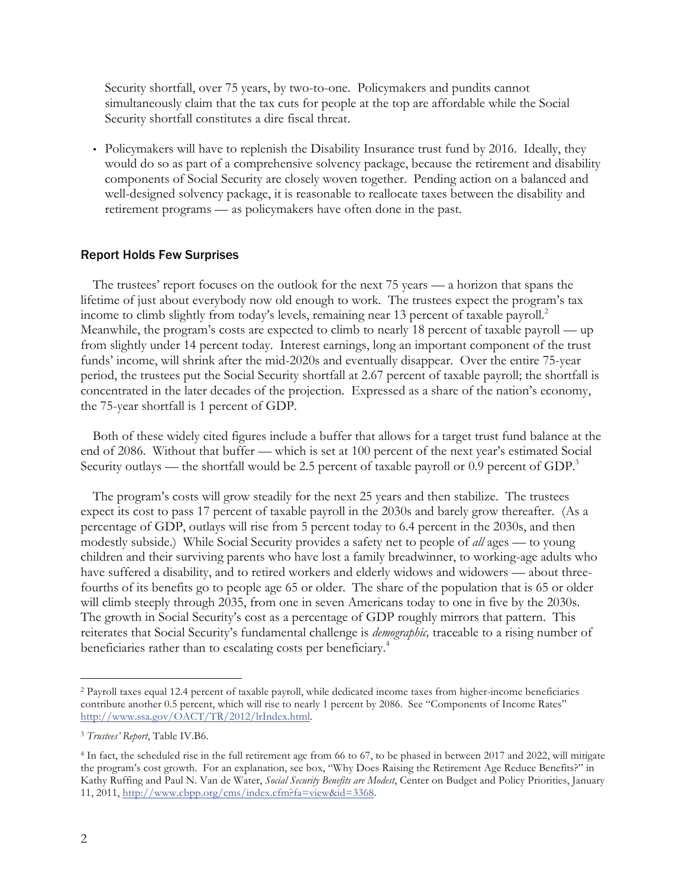Security shortfall, over 75 years, by two-to-one. Policymakers and pundits cannot simultaneously claim that the tax cuts for people at the top are affordable while the Social Security shortfall constitutes a dire fiscal threat.

• Policymakers will have to replenish the Disability Insurance trust fund by 2016. Ideally, they would do so as part of a comprehensive solvency package, because the retirement and disability components of Social Security are closely woven together. Pending action on a balanced and well-designed solvency package, it is reasonable to reallocate taxes between the disability and retirement programs — as policymakers have often done in the past.

### Report Holds Few Surprises

The trustees' report focuses on the outlook for the next 75 years — a horizon that spans the lifetime of just about everybody now old enough to work. The trustees expect the program's tax income to climb slightly from today's levels, remaining near 13 percent of taxable payroll. 2 Meanwhile, the program's costs are expected to climb to nearly 18 percent of taxable payroll — up from slightly under 14 percent today. Interest earnings, long an important component of the trust funds' income, will shrink after the mid-2020s and eventually disappear. Over the entire 75-year period, the trustees put the Social Security shortfall at 2.67 percent of taxable payroll; the shortfall is concentrated in the later decades of the projection. Expressed as a share of the nation's economy, the 75-year shortfall is 1 percent of GDP.

Both of these widely cited figures include a buffer that allows for a target trust fund balance at the end of 2086. Without that buffer — which is set at 100 percent of the next year's estimated Social Security outlays — the shortfall would be 2.5 percent of taxable payroll or 0.9 percent of GDP.<sup>3</sup>

The program's costs will grow steadily for the next 25 years and then stabilize. The trustees expect its cost to pass 17 percent of taxable payroll in the 2030s and barely grow thereafter. (As a percentage of GDP, outlays will rise from 5 percent today to 6.4 percent in the 2030s, and then modestly subside.) While Social Security provides a safety net to people of *all* ages — to young children and their surviving parents who have lost a family breadwinner, to working-age adults who have suffered a disability, and to retired workers and elderly widows and widowers — about threefourths of its benefits go to people age 65 or older. The share of the population that is 65 or older will climb steeply through 2035, from one in seven Americans today to one in five by the 2030s. The growth in Social Security's cost as a percentage of GDP roughly mirrors that pattern. This reiterates that Social Security's fundamental challenge is *demographic,* traceable to a rising number of beneficiaries rather than to escalating costs per beneficiary.<sup>4</sup>

 <sup>2</sup> Payroll taxes equal 12.4 percent of taxable payroll, while dedicated income taxes from higher-income beneficiaries contribute another 0.5 percent, which will rise to nearly 1 percent by 2086. See "Components of Income Rates" http://www.ssa.gov/OACT/TR/2012/lrIndex.html.

<sup>3</sup> *Trustees' Report*, Table IV.B6.

<sup>4</sup> In fact, the scheduled rise in the full retirement age from 66 to 67, to be phased in between 2017 and 2022, will mitigate the program's cost growth. For an explanation, see box, "Why Does Raising the Retirement Age Reduce Benefits?" in Kathy Ruffing and Paul N. Van de Water, *Social Security Benefits are Modest*, Center on Budget and Policy Priorities, January 11, 2011, http://www.cbpp.org/cms/index.cfm?fa=view&id=3368.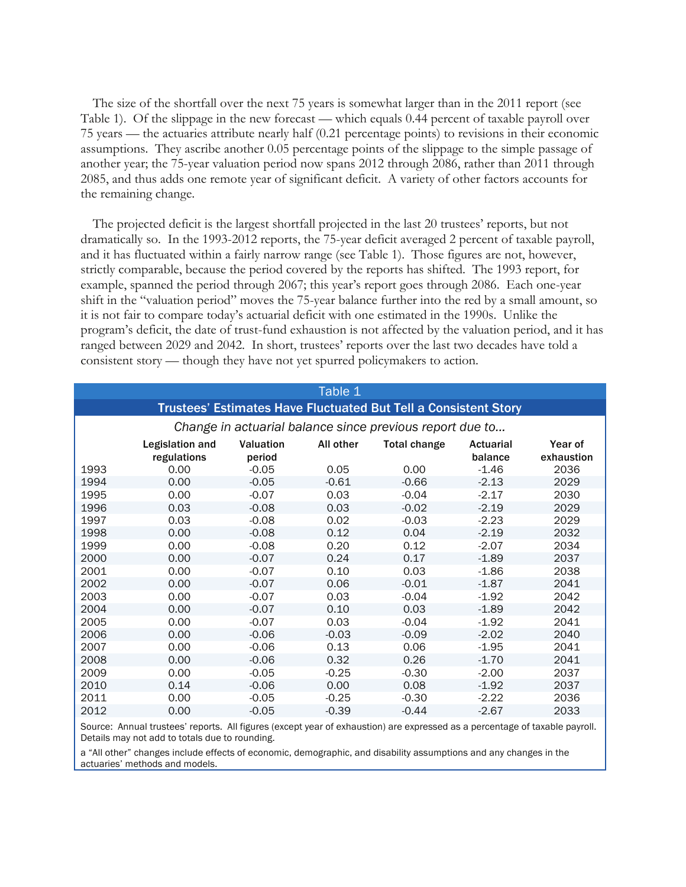The size of the shortfall over the next 75 years is somewhat larger than in the 2011 report (see Table 1). Of the slippage in the new forecast — which equals 0.44 percent of taxable payroll over 75 years — the actuaries attribute nearly half (0.21 percentage points) to revisions in their economic assumptions. They ascribe another 0.05 percentage points of the slippage to the simple passage of another year; the 75-year valuation period now spans 2012 through 2086, rather than 2011 through 2085, and thus adds one remote year of significant deficit. A variety of other factors accounts for the remaining change.

The projected deficit is the largest shortfall projected in the last 20 trustees' reports, but not dramatically so. In the 1993-2012 reports, the 75-year deficit averaged 2 percent of taxable payroll, and it has fluctuated within a fairly narrow range (see Table 1). Those figures are not, however, strictly comparable, because the period covered by the reports has shifted. The 1993 report, for example, spanned the period through 2067; this year's report goes through 2086. Each one-year shift in the "valuation period" moves the 75-year balance further into the red by a small amount, so it is not fair to compare today's actuarial deficit with one estimated in the 1990s. Unlike the program's deficit, the date of trust-fund exhaustion is not affected by the valuation period, and it has ranged between 2029 and 2042. In short, trustees' reports over the last two decades have told a consistent story — though they have not yet spurred policymakers to action.

|                                                                        |                                                          |                            | Table 1   |                     |                             |                       |  |
|------------------------------------------------------------------------|----------------------------------------------------------|----------------------------|-----------|---------------------|-----------------------------|-----------------------|--|
| <b>Trustees' Estimates Have Fluctuated But Tell a Consistent Story</b> |                                                          |                            |           |                     |                             |                       |  |
|                                                                        | Change in actuarial balance since previous report due to |                            |           |                     |                             |                       |  |
|                                                                        | Legislation and<br>regulations                           | <b>Valuation</b><br>period | All other | <b>Total change</b> | <b>Actuarial</b><br>balance | Year of<br>exhaustion |  |
| 1993                                                                   | 0.00                                                     | $-0.05$                    | 0.05      | 0.00                | $-1.46$                     | 2036                  |  |
| 1994                                                                   | 0.00                                                     | $-0.05$                    | $-0.61$   | $-0.66$             | $-2.13$                     | 2029                  |  |
| 1995                                                                   | 0.00                                                     | $-0.07$                    | 0.03      | $-0.04$             | $-2.17$                     | 2030                  |  |
| 1996                                                                   | 0.03                                                     | $-0.08$                    | 0.03      | $-0.02$             | $-2.19$                     | 2029                  |  |
| 1997                                                                   | 0.03                                                     | $-0.08$                    | 0.02      | $-0.03$             | $-2.23$                     | 2029                  |  |
| 1998                                                                   | 0.00                                                     | $-0.08$                    | 0.12      | 0.04                | $-2.19$                     | 2032                  |  |
| 1999                                                                   | 0.00                                                     | $-0.08$                    | 0.20      | 0.12                | $-2.07$                     | 2034                  |  |
| 2000                                                                   | 0.00                                                     | $-0.07$                    | 0.24      | 0.17                | $-1.89$                     | 2037                  |  |
| 2001                                                                   | 0.00                                                     | $-0.07$                    | 0.10      | 0.03                | $-1.86$                     | 2038                  |  |
| 2002                                                                   | 0.00                                                     | $-0.07$                    | 0.06      | $-0.01$             | $-1.87$                     | 2041                  |  |
| 2003                                                                   | 0.00                                                     | $-0.07$                    | 0.03      | $-0.04$             | $-1.92$                     | 2042                  |  |
| 2004                                                                   | 0.00                                                     | $-0.07$                    | 0.10      | 0.03                | $-1.89$                     | 2042                  |  |
| 2005                                                                   | 0.00                                                     | $-0.07$                    | 0.03      | $-0.04$             | $-1.92$                     | 2041                  |  |
| 2006                                                                   | 0.00                                                     | $-0.06$                    | $-0.03$   | $-0.09$             | $-2.02$                     | 2040                  |  |
| 2007                                                                   | 0.00                                                     | $-0.06$                    | 0.13      | 0.06                | $-1.95$                     | 2041                  |  |
| 2008                                                                   | 0.00                                                     | $-0.06$                    | 0.32      | 0.26                | $-1.70$                     | 2041                  |  |
| 2009                                                                   | 0.00                                                     | $-0.05$                    | $-0.25$   | $-0.30$             | $-2.00$                     | 2037                  |  |
| 2010                                                                   | 0.14                                                     | $-0.06$                    | 0.00      | 0.08                | $-1.92$                     | 2037                  |  |
| 2011                                                                   | 0.00                                                     | $-0.05$                    | $-0.25$   | $-0.30$             | $-2.22$                     | 2036                  |  |
| 2012                                                                   | 0.00                                                     | $-0.05$                    | $-0.39$   | $-0.44$             | $-2.67$                     | 2033                  |  |

Source: Annual trustees' reports. All figures (except year of exhaustion) are expressed as a percentage of taxable payroll. Details may not add to totals due to rounding.

a "All other" changes include effects of economic, demographic, and disability assumptions and any changes in the actuaries' methods and models.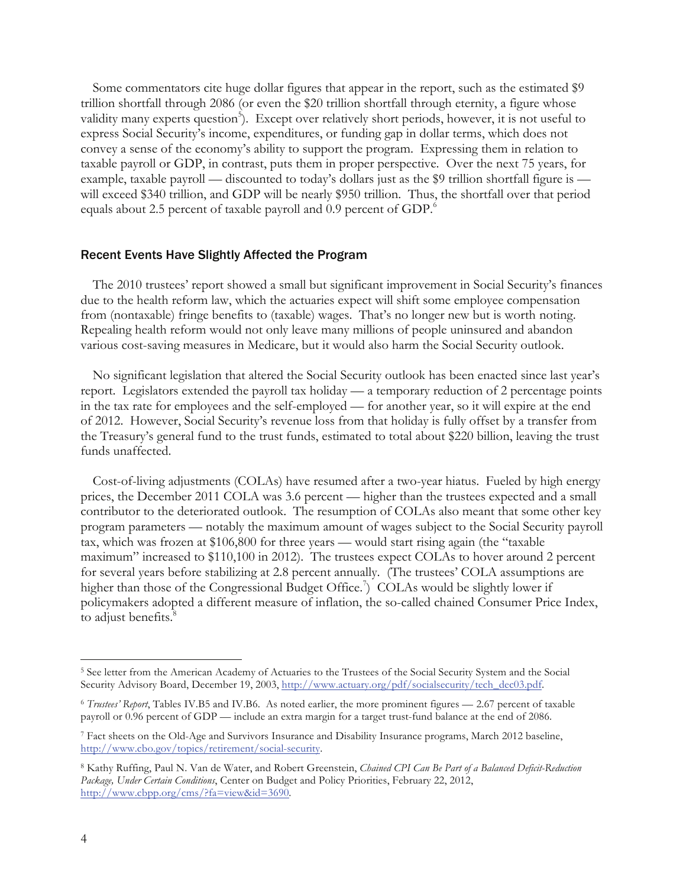Some commentators cite huge dollar figures that appear in the report, such as the estimated \$9 trillion shortfall through 2086 (or even the \$20 trillion shortfall through eternity, a figure whose validity many experts question<sup>5</sup>). Except over relatively short periods, however, it is not useful to express Social Security's income, expenditures, or funding gap in dollar terms, which does not convey a sense of the economy's ability to support the program. Expressing them in relation to taxable payroll or GDP, in contrast, puts them in proper perspective. Over the next 75 years, for example, taxable payroll — discounted to today's dollars just as the \$9 trillion shortfall figure is will exceed \$340 trillion, and GDP will be nearly \$950 trillion. Thus, the shortfall over that period equals about 2.5 percent of taxable payroll and 0.9 percent of GDP.<sup>6</sup>

#### Recent Events Have Slightly Affected the Program

The 2010 trustees' report showed a small but significant improvement in Social Security's finances due to the health reform law, which the actuaries expect will shift some employee compensation from (nontaxable) fringe benefits to (taxable) wages. That's no longer new but is worth noting. Repealing health reform would not only leave many millions of people uninsured and abandon various cost-saving measures in Medicare, but it would also harm the Social Security outlook.

No significant legislation that altered the Social Security outlook has been enacted since last year's report. Legislators extended the payroll tax holiday — a temporary reduction of 2 percentage points in the tax rate for employees and the self-employed — for another year, so it will expire at the end of 2012. However, Social Security's revenue loss from that holiday is fully offset by a transfer from the Treasury's general fund to the trust funds, estimated to total about \$220 billion, leaving the trust funds unaffected.

Cost-of-living adjustments (COLAs) have resumed after a two-year hiatus. Fueled by high energy prices, the December 2011 COLA was 3.6 percent — higher than the trustees expected and a small contributor to the deteriorated outlook. The resumption of COLAs also meant that some other key program parameters — notably the maximum amount of wages subject to the Social Security payroll tax, which was frozen at \$106,800 for three years — would start rising again (the "taxable maximum" increased to \$110,100 in 2012). The trustees expect COLAs to hover around 2 percent for several years before stabilizing at 2.8 percent annually. (The trustees' COLA assumptions are higher than those of the Congressional Budget Office.<sup>7</sup>) COLAs would be slightly lower if policymakers adopted a different measure of inflation, the so-called chained Consumer Price Index, to adjust benefits.<sup>8</sup>

 <sup>5</sup> See letter from the American Academy of Actuaries to the Trustees of the Social Security System and the Social Security Advisory Board, December 19, 2003, http://www.actuary.org/pdf/socialsecurity/tech\_dec03.pdf.

<sup>6</sup> *Trustees' Report*, Tables IV.B5 and IV.B6. As noted earlier, the more prominent figures — 2.67 percent of taxable payroll or 0.96 percent of GDP — include an extra margin for a target trust-fund balance at the end of 2086.

<sup>7</sup> Fact sheets on the Old-Age and Survivors Insurance and Disability Insurance programs, March 2012 baseline, http://www.cbo.gov/topics/retirement/social-security.

<sup>8</sup> Kathy Ruffing, Paul N. Van de Water, and Robert Greenstein, *Chained CPI Can Be Part of a Balanced Deficit-Reduction Package, Under Certain Conditions*, Center on Budget and Policy Priorities, February 22, 2012, http://www.cbpp.org/cms/?fa=view&id=3690.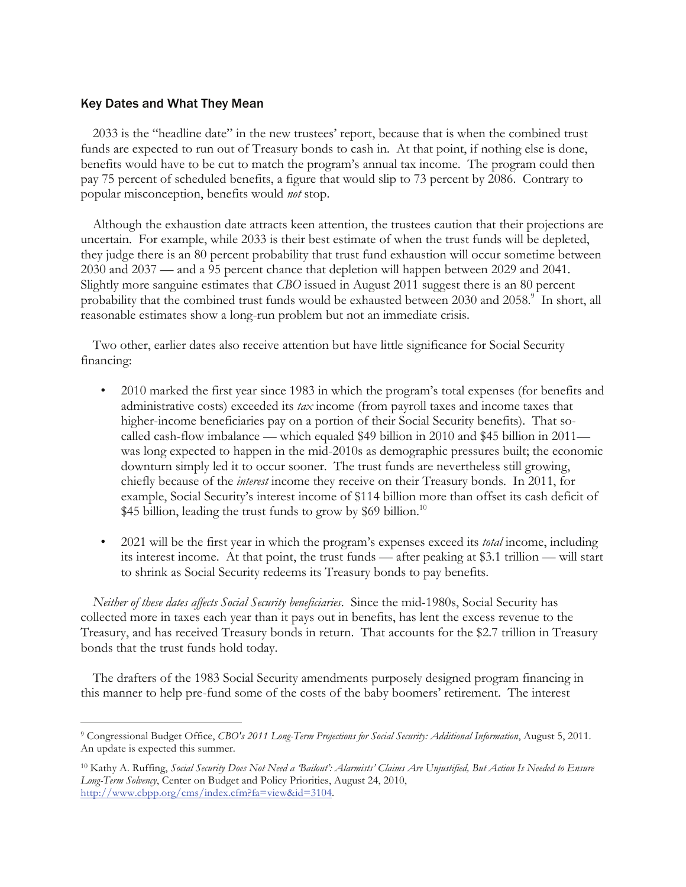## Key Dates and What They Mean

2033 is the "headline date" in the new trustees' report, because that is when the combined trust funds are expected to run out of Treasury bonds to cash in. At that point, if nothing else is done, benefits would have to be cut to match the program's annual tax income. The program could then pay 75 percent of scheduled benefits, a figure that would slip to 73 percent by 2086. Contrary to popular misconception, benefits would *not* stop.

Although the exhaustion date attracts keen attention, the trustees caution that their projections are uncertain. For example, while 2033 is their best estimate of when the trust funds will be depleted, they judge there is an 80 percent probability that trust fund exhaustion will occur sometime between 2030 and 2037 — and a 95 percent chance that depletion will happen between 2029 and 2041. Slightly more sanguine estimates that *CBO* issued in August 2011 suggest there is an 80 percent probability that the combined trust funds would be exhausted between 2030 and 2058.<sup>9</sup> In short, all reasonable estimates show a long-run problem but not an immediate crisis.

Two other, earlier dates also receive attention but have little significance for Social Security financing:

- J 2010 marked the first year since 1983 in which the program's total expenses (for benefits and administrative costs) exceeded its *tax* income (from payroll taxes and income taxes that higher-income beneficiaries pay on a portion of their Social Security benefits). That socalled cash-flow imbalance — which equaled \$49 billion in 2010 and \$45 billion in 2011 was long expected to happen in the mid-2010s as demographic pressures built; the economic downturn simply led it to occur sooner. The trust funds are nevertheless still growing, chiefly because of the *interest* income they receive on their Treasury bonds. In 2011, for example, Social Security's interest income of \$114 billion more than offset its cash deficit of \$45 billion, leading the trust funds to grow by \$69 billion.<sup>10</sup>
- 2021 will be the first year in which the program's expenses exceed its *total* income, including its interest income. At that point, the trust funds — after peaking at \$3.1 trillion — will start to shrink as Social Security redeems its Treasury bonds to pay benefits.

*Neither of these dates affects Social Security beneficiaries*. Since the mid-1980s, Social Security has collected more in taxes each year than it pays out in benefits, has lent the excess revenue to the Treasury, and has received Treasury bonds in return. That accounts for the \$2.7 trillion in Treasury bonds that the trust funds hold today.

The drafters of the 1983 Social Security amendments purposely designed program financing in this manner to help pre-fund some of the costs of the baby boomers' retirement. The interest

 <sup>9</sup> Congressional Budget Office, *CBO's 2011 Long-Term Projections for Social Security: Additional Information*, August 5, 2011. An update is expected this summer.

<sup>10</sup> Kathy A. Ruffing, *Social Security Does Not Need a 'Bailout': Alarmists' Claims Are Unjustified, But Action Is Needed to Ensure Long-Term Solvency*, Center on Budget and Policy Priorities, August 24, 2010, http://www.cbpp.org/cms/index.cfm?fa=view&id=3104.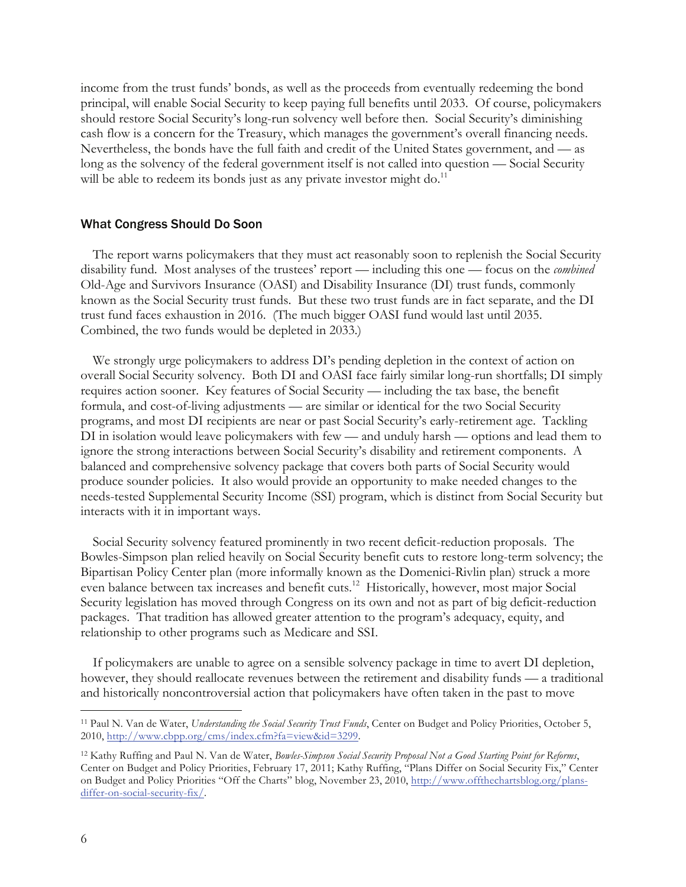income from the trust funds' bonds, as well as the proceeds from eventually redeeming the bond principal, will enable Social Security to keep paying full benefits until 2033. Of course, policymakers should restore Social Security's long-run solvency well before then. Social Security's diminishing cash flow is a concern for the Treasury, which manages the government's overall financing needs. Nevertheless, the bonds have the full faith and credit of the United States government, and — as long as the solvency of the federal government itself is not called into question — Social Security will be able to redeem its bonds just as any private investor might do.<sup>11</sup>

#### What Congress Should Do Soon

The report warns policymakers that they must act reasonably soon to replenish the Social Security disability fund. Most analyses of the trustees' report — including this one — focus on the *combined* Old-Age and Survivors Insurance (OASI) and Disability Insurance (DI) trust funds, commonly known as the Social Security trust funds. But these two trust funds are in fact separate, and the DI trust fund faces exhaustion in 2016. (The much bigger OASI fund would last until 2035. Combined, the two funds would be depleted in 2033.)

We strongly urge policymakers to address DI's pending depletion in the context of action on overall Social Security solvency. Both DI and OASI face fairly similar long-run shortfalls; DI simply requires action sooner. Key features of Social Security — including the tax base, the benefit formula, and cost-of-living adjustments — are similar or identical for the two Social Security programs, and most DI recipients are near or past Social Security's early-retirement age. Tackling DI in isolation would leave policymakers with few — and unduly harsh — options and lead them to ignore the strong interactions between Social Security's disability and retirement components. A balanced and comprehensive solvency package that covers both parts of Social Security would produce sounder policies. It also would provide an opportunity to make needed changes to the needs-tested Supplemental Security Income (SSI) program, which is distinct from Social Security but interacts with it in important ways.

Social Security solvency featured prominently in two recent deficit-reduction proposals. The Bowles-Simpson plan relied heavily on Social Security benefit cuts to restore long-term solvency; the Bipartisan Policy Center plan (more informally known as the Domenici-Rivlin plan) struck a more even balance between tax increases and benefit cuts.12 Historically, however, most major Social Security legislation has moved through Congress on its own and not as part of big deficit-reduction packages. That tradition has allowed greater attention to the program's adequacy, equity, and relationship to other programs such as Medicare and SSI.

If policymakers are unable to agree on a sensible solvency package in time to avert DI depletion, however, they should reallocate revenues between the retirement and disability funds — a traditional and historically noncontroversial action that policymakers have often taken in the past to move

 <sup>11</sup> Paul N. Van de Water, *Understanding the Social Security Trust Funds*, Center on Budget and Policy Priorities, October 5, 2010, http://www.cbpp.org/cms/index.cfm?fa=view&id=3299.

<sup>12</sup> Kathy Ruffing and Paul N. Van de Water, *Bowles-Simpson Social Security Proposal Not a Good Starting Point for Reforms*, Center on Budget and Policy Priorities, February 17, 2011; Kathy Ruffing, "Plans Differ on Social Security Fix," Center on Budget and Policy Priorities "Off the Charts" blog, November 23, 2010, http://www.offthechartsblog.org/plansdiffer-on-social-security-fix/.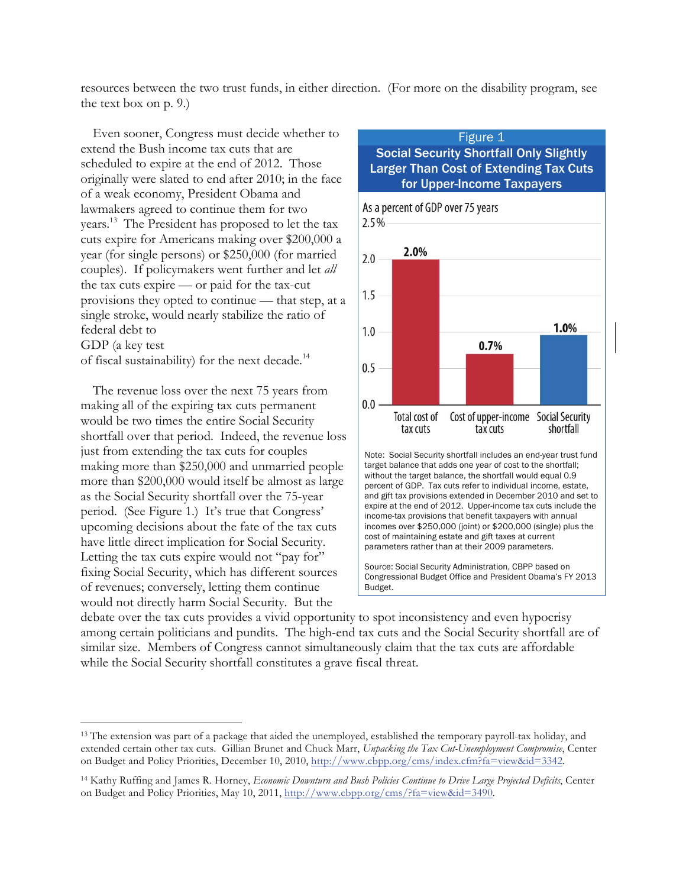resources between the two trust funds, in either direction. (For more on the disability program, see the text box on p. 9.)

Even sooner, Congress must decide whether to extend the Bush income tax cuts that are scheduled to expire at the end of 2012. Those originally were slated to end after 2010; in the face of a weak economy, President Obama and lawmakers agreed to continue them for two years. 13 The President has proposed to let the tax cuts expire for Americans making over \$200,000 a year (for single persons) or \$250,000 (for married couples). If policymakers went further and let *all* the tax cuts expire — or paid for the tax-cut provisions they opted to continue — that step, at a single stroke, would nearly stabilize the ratio of federal debt to GDP (a key test of fiscal sustainability) for the next decade.<sup>14</sup>

The revenue loss over the next 75 years from making all of the expiring tax cuts permanent would be two times the entire Social Security shortfall over that period. Indeed, the revenue loss just from extending the tax cuts for couples making more than \$250,000 and unmarried people more than \$200,000 would itself be almost as large as the Social Security shortfall over the 75-year period. (See Figure 1.) It's true that Congress' upcoming decisions about the fate of the tax cuts have little direct implication for Social Security. Letting the tax cuts expire would not "pay for" fixing Social Security, which has different sources of revenues; conversely, letting them continue would not directly harm Social Security. But the



debate over the tax cuts provides a vivid opportunity to spot inconsistency and even hypocrisy among certain politicians and pundits. The high-end tax cuts and the Social Security shortfall are of similar size. Members of Congress cannot simultaneously claim that the tax cuts are affordable while the Social Security shortfall constitutes a grave fiscal threat.

<sup>&</sup>lt;sup>13</sup> The extension was part of a package that aided the unemployed, established the temporary payroll-tax holiday, and extended certain other tax cuts. Gillian Brunet and Chuck Marr, *Unpacking the Tax Cut-Unemployment Compromise*, Center on Budget and Policy Priorities, December 10, 2010, http://www.cbpp.org/cms/index.cfm?fa=view&id=3342.

<sup>14</sup> Kathy Ruffing and James R. Horney, *Economic Downturn and Bush Policies Continue to Drive Large Projected Deficits*, Center on Budget and Policy Priorities, May 10, 2011, http://www.cbpp.org/cms/?fa=view&id=3490.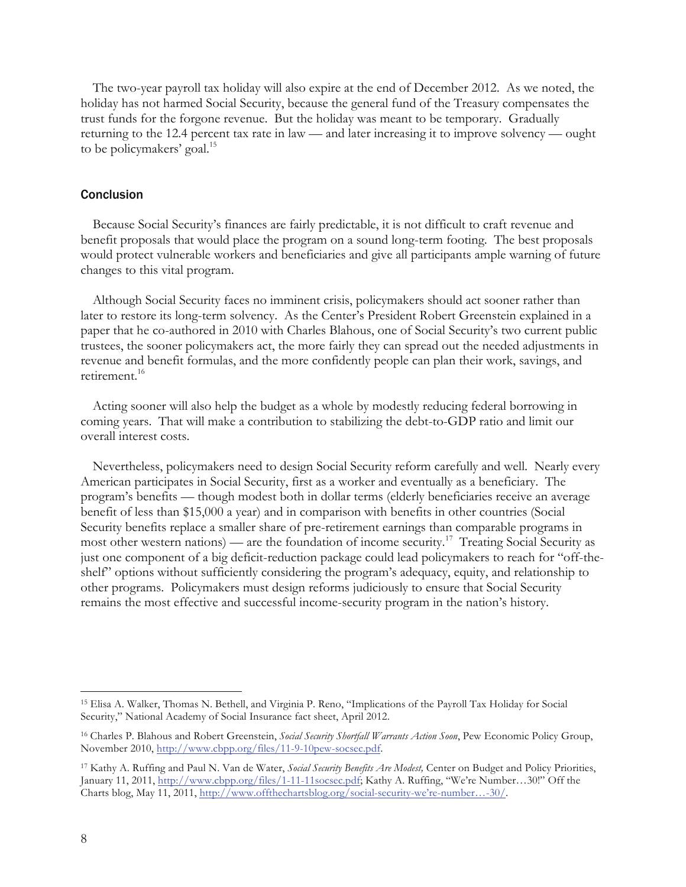The two-year payroll tax holiday will also expire at the end of December 2012. As we noted, the holiday has not harmed Social Security, because the general fund of the Treasury compensates the trust funds for the forgone revenue. But the holiday was meant to be temporary. Gradually returning to the 12.4 percent tax rate in law — and later increasing it to improve solvency — ought to be policymakers' goal.<sup>15</sup>

#### Conclusion

Because Social Security's finances are fairly predictable, it is not difficult to craft revenue and benefit proposals that would place the program on a sound long-term footing. The best proposals would protect vulnerable workers and beneficiaries and give all participants ample warning of future changes to this vital program.

Although Social Security faces no imminent crisis, policymakers should act sooner rather than later to restore its long-term solvency. As the Center's President Robert Greenstein explained in a paper that he co-authored in 2010 with Charles Blahous, one of Social Security's two current public trustees, the sooner policymakers act, the more fairly they can spread out the needed adjustments in revenue and benefit formulas, and the more confidently people can plan their work, savings, and retirement.16

Acting sooner will also help the budget as a whole by modestly reducing federal borrowing in coming years. That will make a contribution to stabilizing the debt-to-GDP ratio and limit our overall interest costs.

Nevertheless, policymakers need to design Social Security reform carefully and well. Nearly every American participates in Social Security, first as a worker and eventually as a beneficiary. The program's benefits — though modest both in dollar terms (elderly beneficiaries receive an average benefit of less than \$15,000 a year) and in comparison with benefits in other countries (Social Security benefits replace a smaller share of pre-retirement earnings than comparable programs in most other western nations) — are the foundation of income security.<sup>17</sup> Treating Social Security as just one component of a big deficit-reduction package could lead policymakers to reach for "off-theshelf" options without sufficiently considering the program's adequacy, equity, and relationship to other programs. Policymakers must design reforms judiciously to ensure that Social Security remains the most effective and successful income-security program in the nation's history.

 <sup>15</sup> Elisa A. Walker, Thomas N. Bethell, and Virginia P. Reno, "Implications of the Payroll Tax Holiday for Social Security," National Academy of Social Insurance fact sheet, April 2012.

<sup>16</sup> Charles P. Blahous and Robert Greenstein, *Social Security Shortfall Warrants Action Soon*, Pew Economic Policy Group, November 2010, http://www.cbpp.org/files/11-9-10pew-socsec.pdf.

<sup>17</sup> Kathy A. Ruffing and Paul N. Van de Water, *Social Security Benefits Are Modest,* Center on Budget and Policy Priorities, January 11, 2011, http://www.cbpp.org/files/1-11-11socsec.pdf; Kathy A. Ruffing, "We're Number…30!" Off the Charts blog, May 11, 2011, http://www.offthechartsblog.org/social-security-we're-number…-30/.